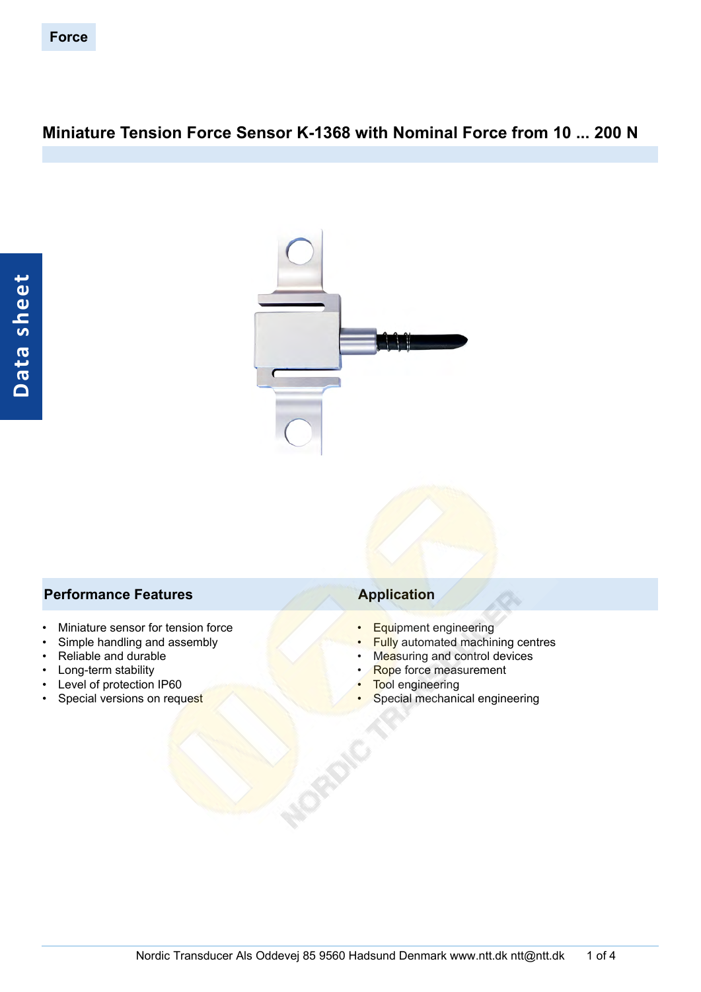# **Miniature Tension Force Sensor K-1368 with Nominal Force from 10 ... 200 N**



### **Performance Features Application**

- Miniature sensor for tension force
- Simple handling and assembly
- Reliable and durable
- Long-term stability
- Level of protection IP60
- Special versions on request

- Equipment engineering
- Fully automated machining centres
- Measuring and control devices
- Rope force measurement
- Tool engineering
- Special mechanical engineering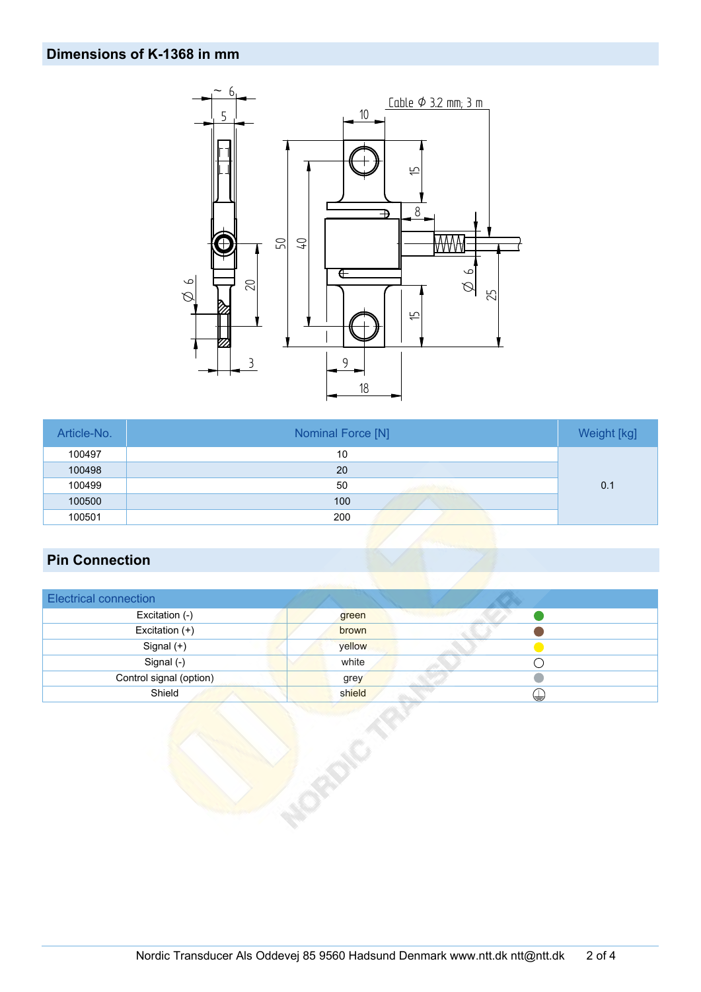## **Dimensions of K-1368 in mm**



| Article-No. | Nominal Force [N] | Weight [kg] |
|-------------|-------------------|-------------|
| 100497      | 10                |             |
| 100498      | 20                |             |
| 100499      | 50                | 0.1         |
| 100500      | 100               |             |
| 100501      | 200               |             |

## **Pin Connection**

| <b>Electrical connection</b> |             |
|------------------------------|-------------|
| Excitation (-)               | green       |
| Excitation (+)               | brown       |
| Signal (+)                   | yellow      |
| Signal (-)                   | white       |
| Control signal (option)      | grey        |
| Shield                       | shield<br>⊌ |

okoto As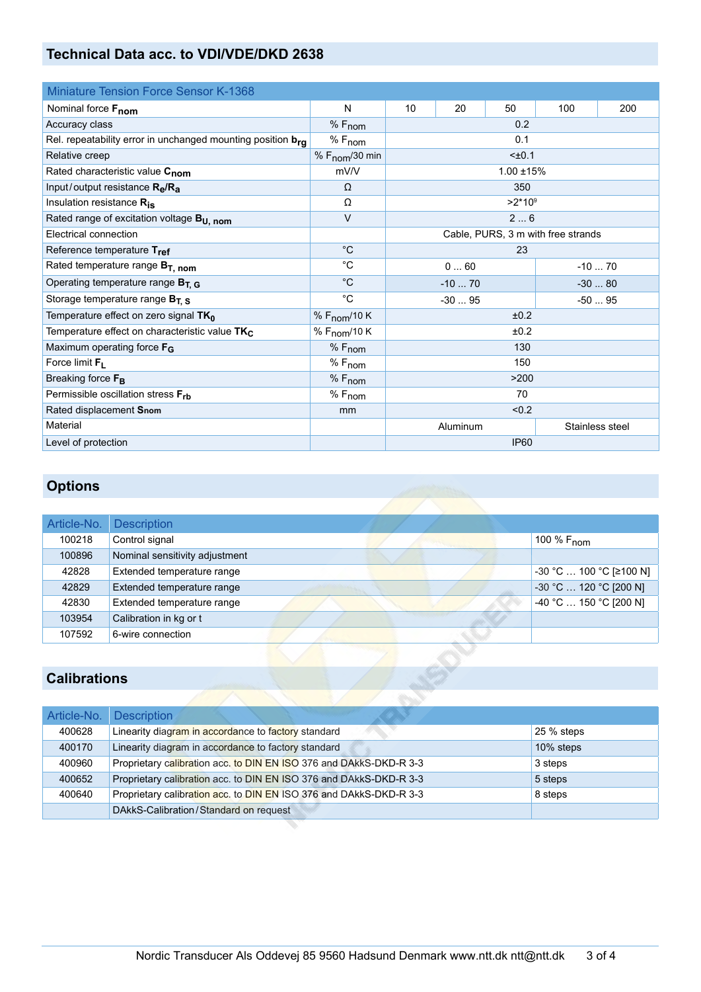## **Technical Data acc. to VDI/VDE/DKD 2638**

| <b>Miniature Tension Force Sensor K-1368</b>                |                            |                             |    |     |     |     |
|-------------------------------------------------------------|----------------------------|-----------------------------|----|-----|-----|-----|
| Nominal force Fnom                                          | N                          | 10                          | 20 | 50  | 100 | 200 |
| Accuracy class                                              | $%F_{nom}$                 | 0.2                         |    |     |     |     |
| Rel. repeatability error in unchanged mounting position bra | $%F_{nom}$                 |                             |    | 0.1 |     |     |
| Relative creep                                              | % $F_{\text{nom}}$ /30 min | $±0.1$                      |    |     |     |     |
| Rated characteristic value Cnom<br>mV/V                     |                            | $1.00 + 15%$                |    |     |     |     |
| Input/output resistance $R_{\rm e}/R_{\rm a}$               | $\Omega$                   | 350                         |    |     |     |     |
| Insulation resistance R <sub>is</sub>                       | Ω                          | $>2*10^9$                   |    |     |     |     |
| Rated range of excitation voltage B <sub>U, nom</sub>       | $\vee$                     | 26                          |    |     |     |     |
| Electrical connection<br>Cable, PURS, 3 m with free strands |                            |                             |    |     |     |     |
| Reference temperature Tref                                  | $^{\circ}C$                | 23                          |    |     |     |     |
| Rated temperature range $B_T$ , nom                         | $^{\circ}C$                | 060<br>$-1070$              |    |     |     |     |
| Operating temperature range $B_{T, G}$                      | $^{\circ}C$                | $-1070$<br>$-3080$          |    |     |     |     |
| Storage temperature range $B_{T, S}$                        | $^{\circ}C$                | $-3095$<br>$-5095$          |    |     |     |     |
| Temperature effect on zero signal TK <sub>0</sub>           | % F <sub>nom</sub> /10 K   | ±0.2                        |    |     |     |     |
| Temperature effect on characteristic value TK <sub>C</sub>  | % F <sub>nom</sub> /10 K   | ±0.2                        |    |     |     |     |
| Maximum operating force F <sub>G</sub>                      | $%F_{nom}$                 | 130                         |    |     |     |     |
| Force limit $F_L$                                           | $%F_{nom}$                 | 150                         |    |     |     |     |
| Breaking force F <sub>B</sub>                               | $%F_{nom}$                 | >200                        |    |     |     |     |
| Permissible oscillation stress Frb                          | $%F_{nom}$                 | 70                          |    |     |     |     |
| Rated displacement Snom                                     | mm                         | < 0.2                       |    |     |     |     |
| Material                                                    |                            | Stainless steel<br>Aluminum |    |     |     |     |
| Level of protection                                         |                            | <b>IP60</b>                 |    |     |     |     |

# **Options**

| Article-No. | <b>Description</b>             |                                  |
|-------------|--------------------------------|----------------------------------|
| 100218      | Control signal                 | 100 $%$ F <sub>nom</sub>         |
| 100896      | Nominal sensitivity adjustment |                                  |
| 42828       | Extended temperature range     | -30 °C  100 °C [≥100 N]          |
| 42829       | Extended temperature range     | $-30$ °C $\ldots$ 120 °C [200 N] |
| 42830       | Extended temperature range     | -40 °C  150 °C [200 N]           |
| 103954      | Calibration in kg or t         |                                  |
| 107592      | 6-wire connection              |                                  |

## **Calibrations**

| Article-No. | <b>Description</b>                                                 |            |
|-------------|--------------------------------------------------------------------|------------|
| 400628      | Linearity diagram in accordance to factory standard                | 25 % steps |
| 400170      | Linearity diagram in accordance to factory standard                | 10% steps  |
| 400960      | Proprietary calibration acc. to DIN EN ISO 376 and DAkkS-DKD-R 3-3 | 3 steps    |
| 400652      | Proprietary calibration acc. to DIN EN ISO 376 and DAkkS-DKD-R 3-3 | 5 steps    |
| 400640      | Proprietary calibration acc. to DIN EN ISO 376 and DAkkS-DKD-R 3-3 | 8 steps    |
|             | DAkkS-Calibration/Standard on request                              |            |